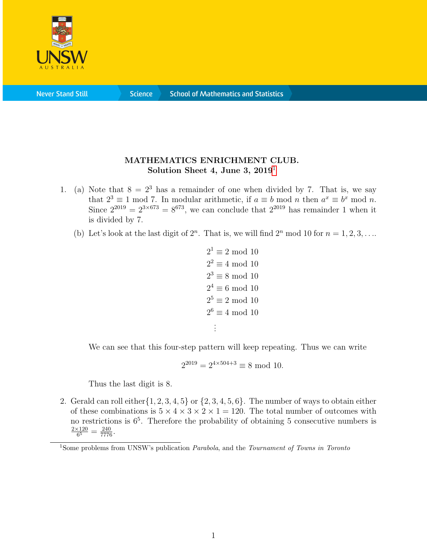

**Science** 

## MATHEMATICS ENRICHMENT CLUB. Solution Sheet 4, June 3,  $2019<sup>1</sup>$  $2019<sup>1</sup>$  $2019<sup>1</sup>$

- 1. (a) Note that  $8 = 2^3$  has a remainder of one when divided by 7. That is, we say that  $2^3 \equiv 1 \mod 7$ . In modular arithmetic, if  $a \equiv b \mod n$  then  $a^x \equiv b^x \mod n$ . Since  $2^{2019} = 2^{3 \times 673} = 8^{673}$ , we can conclude that  $2^{2019}$  has remainder 1 when it is divided by 7.
	- (b) Let's look at the last digit of  $2^n$ . That is, we will find  $2^n$  mod 10 for  $n = 1, 2, 3, \ldots$

```
2^1 \equiv 2 \mod 102^2 \equiv 4 \mod 102^3 \equiv 8 \mod 102^4 \equiv 6 \mod 102^5 \equiv 2 \mod 102^6 \equiv 4 \mod 10.
.
.
```
We can see that this four-step pattern will keep repeating. Thus we can write

$$
2^{2019} = 2^{4 \times 504 + 3} \equiv 8 \mod 10.
$$

Thus the last digit is 8.

2. Gerald can roll either  $\{1, 2, 3, 4, 5\}$  or  $\{2, 3, 4, 5, 6\}$ . The number of ways to obtain either of these combinations is  $5 \times 4 \times 3 \times 2 \times 1 = 120$ . The total number of outcomes with no restrictions is  $6<sup>5</sup>$ . Therefore the probability of obtaining 5 consecutive numbers is  $2\times120$  $\frac{120}{6^5} = \frac{240}{7776}.$ 

<span id="page-0-0"></span><sup>&</sup>lt;sup>1</sup>Some problems from UNSW's publication *Parabola*, and the *Tournament of Towns in Toronto*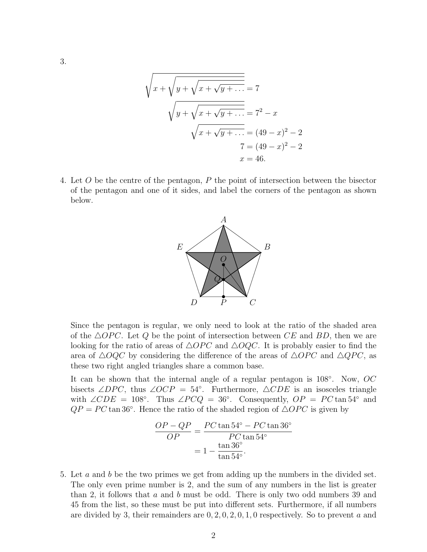$$
\sqrt{x + \sqrt{y + \sqrt{x + \sqrt{y + \dots}}}} = 7
$$
  

$$
\sqrt{y + \sqrt{x + \sqrt{y + \dots}}}} = 7^{2} - x
$$
  

$$
\sqrt{x + \sqrt{y + \dots}} = (49 - x)^{2} - 2
$$
  

$$
7 = (49 - x)^{2} - 2
$$
  

$$
x = 46.
$$

4. Let O be the centre of the pentagon, P the point of intersection between the bisector of the pentagon and one of it sides, and label the corners of the pentagon as shown below.



Since the pentagon is regular, we only need to look at the ratio of the shaded area of the  $\triangle OPC$ . Let Q be the point of intersection between CE and BD, then we are looking for the ratio of areas of  $\triangle OPC$  and  $\triangle OQC$ . It is probably easier to find the area of  $\triangle OQC$  by considering the difference of the areas of  $\triangle OPC$  and  $\triangle QPC$ , as these two right angled triangles share a common base.

It can be shown that the internal angle of a regular pentagon is 108°. Now, OC bisects ∠DPC, thus ∠OCP = 54°. Furthermore,  $\triangle CDE$  is an isosceles triangle with  $\angle CDE = 108^\circ$ . Thus  $\angle PCQ = 36^\circ$ . Consequently,  $OP = PC \tan 54^\circ$  and  $QP = PC \tan 36^{\circ}$ . Hence the ratio of the shaded region of  $\triangle OPC$  is given by

$$
\frac{OP - QP}{OP} = \frac{PC \tan 54^{\circ} - PC \tan 36^{\circ}}{PC \tan 54^{\circ}}
$$

$$
= 1 - \frac{\tan 36^{\circ}}{\tan 54^{\circ}}.
$$

5. Let a and b be the two primes we get from adding up the numbers in the divided set. The only even prime number is 2, and the sum of any numbers in the list is greater than 2, it follows that  $a$  and  $b$  must be odd. There is only two odd numbers 39 and 45 from the list, so these must be put into different sets. Furthermore, if all numbers are divided by 3, their remainders are  $0, 2, 0, 2, 0, 1, 0$  respectively. So to prevent a and